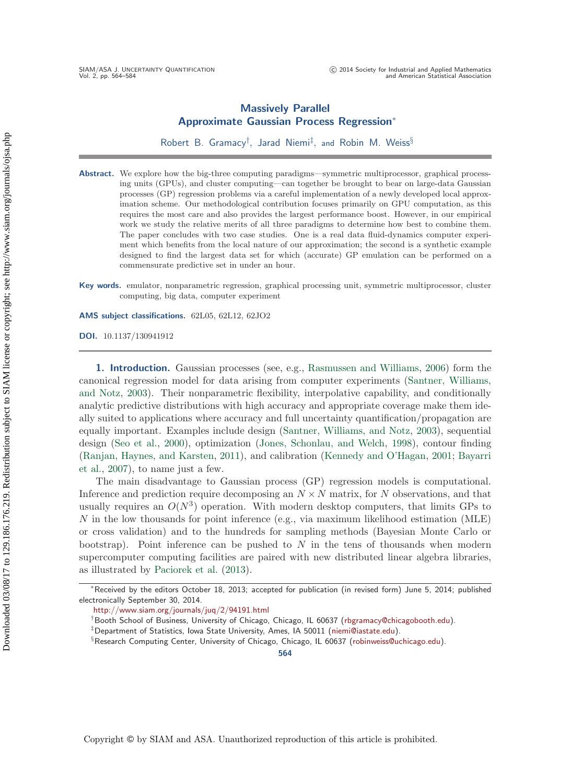# **Massively Parallel Approximate Gaussian Process Regression**<sup>∗</sup>

Robert B. Gramacy† , Jarad Niemi‡ , and Robin M. Weiss§

**Abstract.** We explore how the big-three computing paradigms—symmetric multiprocessor, graphical processing units (GPUs), and cluster computing—can together be brought to bear on large-data Gaussian processes (GP) regression problems via a careful implementation of a newly developed local approximation scheme. Our methodological contribution focuses primarily on GPU computation, as this requires the most care and also provides the largest performance boost. However, in our empirical work we study the relative merits of all three paradigms to determine how best to combine them. The paper concludes with two case studies. One is a real data fluid-dynamics computer experiment which benefits from the local nature of our approximation; the second is a synthetic example designed to find the largest data set for which (accurate) GP emulation can be performed on a commensurate predictive set in under an hour.

**Key words.** emulator, nonparametric regression, graphical processing unit, symmetric multiprocessor, cluster computing, big data, computer experiment

**AMS subject classifications.** 62L05, 62L12, 62JO2

**DOI.** 10.1137/130941912

**1. Introduction.** Gaussian processes (see, e.g., [Rasmussen and Williams](#page-20-0), [2006\)](#page-20-0) form the canonical [regression model for data arising from computer experiments \(](#page-20-1)Santner, Williams, and Notz, [2003](#page-20-1)). Their nonparametric flexibility, interpolative capability, and conditionally analytic predictive distributions with high accuracy and appropriate coverage make them ideally suited to applications where accuracy and full uncertainty quantification/propagation are equally important. Examples include design [\(Santner, Williams, and Notz,](#page-20-1) [2003](#page-20-1)), sequential design [\(Seo et al.,](#page-20-2) [2000](#page-20-2)), optimization [\(Jones, Schonlau, and Welch](#page-19-0), [1998\)](#page-19-0), contour finding [\(Ranjan, Haynes, and Karsten,](#page-20-3) [2011](#page-20-3)[\), and calibration](#page-19-2) [\(Kennedy and O'Hagan](#page-19-1)[,](#page-19-2) [2001;](#page-19-1) Bayarri et al., [2007](#page-19-2)), to name just a few.

The main disadvantage to Gaussian process (GP) regression models is computational. Inference and prediction require decomposing an  $N \times N$  matrix, for N observations, and that usually requires an  $O(N^3)$  operation. With modern desktop computers, that limits GPs to  $N$  in the low thousands for point inference (e.g., via maximum likelihood estimation (MLE) or cross validation) and to the hundreds for sampling methods (Bayesian Monte Carlo or bootstrap). Point inference can be pushed to  $N$  in the tens of thousands when modern supercomputer computing facilities are paired with new distributed linear algebra libraries, as illustrated by [Paciorek et al.](#page-20-4) [\(2013\)](#page-20-4).

<http://www.siam.org/journals/juq/2/94191.html>

**564**

<sup>∗</sup>Received by the editors October 18, 2013; accepted for publication (in revised form) June 5, 2014; published electronically September 30, 2014.

<sup>†</sup>Booth School of Business, University of Chicago, Chicago, IL 60637 [\(rbgramacy@chicagobooth.edu\)](mailto:rbgramacy@chicagobooth.edu).

<sup>‡</sup>Department of Statistics, Iowa State University, Ames, IA 50011 [\(niemi@iastate.edu\)](mailto:niemi@iastate.edu).

<sup>§</sup>Research Computing Center, University of Chicago, Chicago, IL 60637 [\(robinweiss@uchicago.edu\)](mailto:robinweiss@uchicago.edu).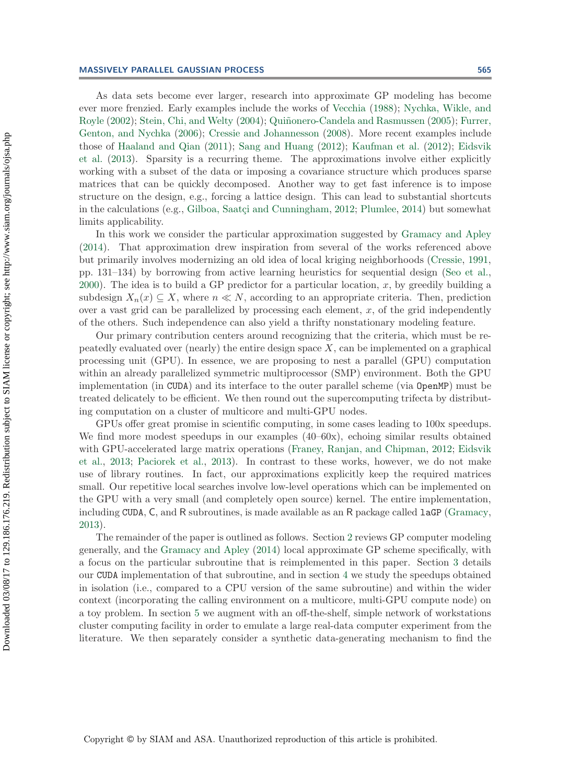#### **MASSIVELY PARALLEL GAUSSIAN PROCESS 565**

As data sets become ever larger, research into approximate GP modeling has become ever [more frenzied. Early examples include the works of](#page-20-6) [Vecchia](#page-20-5) [\(1988\)](#page-20-5); Nychka, Wikle, and Royle [\(2002](#page-20-6)); [Stein, Chi, and Welty](#page-20-7) [\(2004](#page-20-7)); Quiñonero-Candela and Rasmussen [\(2005\)](#page-20-8); Furrer, Genton, and Nychka [\(2006](#page-19-3)); [Cressie and Johannesson](#page-19-4) [\(2008](#page-19-4)). More recent examples include those of [Haaland and Qian](#page-19-5) [\(2011](#page-19-5)); [Sang and Huang](#page-20-9) [\(2012\)](#page-20-9); [Kaufman et al.](#page-19-6) [\(2012\)](#page-19-6); Eidsvik et al. [\(2013](#page-19-7)). Sparsity is a recurring theme. The approximations involve either explicitly working with a subset of the data or imposing a covariance structure which produces sparse matrices that can be quickly decomposed. Another way to get fast inference is to impose structure on the design, e.g., forcing a lattice design. This can lead to substantial shortcuts in the calculations (e.g., Gilboa, Saatçi and Cunningham, [2012](#page-19-8); [Plumlee,](#page-20-10) [2014](#page-20-10)) but somewhat limits applicability.

In this work we consider the particular approximation suggested by [Gramacy and Apley](#page-19-9) [\(2014\)](#page-19-9). That approximation drew inspiration from several of the works referenced above but primarily involves modernizing an old idea of local kriging neighborhoods [\(Cressie](#page-19-10), [1991,](#page-19-10) pp. 131–134) by borrowing from active learning heuristics for sequential design [\(Seo et al.,](#page-20-2)  $2000$ ). The idea is to build a GP predictor for a particular location, x, by greedily building a subdesign  $X_n(x) \subseteq X$ , where  $n \ll N$ , according to an appropriate criteria. Then, prediction over a vast grid can be parallelized by processing each element,  $x$ , of the grid independently of the others. Such independence can also yield a thrifty nonstationary modeling feature.

Our primary contribution centers around recognizing that the criteria, which must be repeatedly evaluated over (nearly) the entire design space  $X$ , can be implemented on a graphical processing unit (GPU). In essence, we are proposing to nest a parallel (GPU) computation within an already parallelized symmetric multiprocessor (SMP) environment. Both the GPU implementation (in CUDA) and its interface to the outer parallel scheme (via OpenMP) must be treated delicately to be efficient. We then round out the supercomputing trifecta by distributing computation on a cluster of multicore and multi-GPU nodes.

GPUs offer great promise in scientific computing, in some cases leading to 100x speedups. We find more modest speedups in our examples  $(40-60x)$ , echoing similar results obtained with [GPU-accelerated large matrix operations](#page-19-7) [\(Franey, Ranjan, and Chipman,](#page-19-11) [2012;](#page-19-11) Eidsvik et al., [2013;](#page-19-7) [Paciorek et al.](#page-20-4), [2013\)](#page-20-4). In contrast to these works, however, we do not make use of library routines. In fact, our approximations explicitly keep the required matrices small. Our repetitive local searches involve low-level operations which can be implemented on the GPU with a very small (and completely open source) kernel. The entire implementation, including CUDA, C, and R subroutines, is made available as an R package called  $lagP$  [\(Gramacy,](#page-19-12) [2013\)](#page-19-12).

The remainder of the paper is outlined as follows. Section [2](#page-2-0) reviews GP computer modeling generally, and the [Gramacy and Apley](#page-19-9) [\(2014](#page-19-9)) local approximate GP scheme specifically, with a focus on the particular subroutine that is reimplemented in this paper. Section [3](#page-5-0) details our CUDA implementation of that subroutine, and in section [4](#page-11-0) we study the speedups obtained in isolation (i.e., compared to a CPU version of the same subroutine) and within the wider context (incorporating the calling environment on a multicore, multi-GPU compute node) on a toy problem. In section [5](#page-15-0) we augment with an off-the-shelf, simple network of workstations cluster computing facility in order to emulate a large real-data computer experiment from the literature. We then separately consider a synthetic data-generating mechanism to find the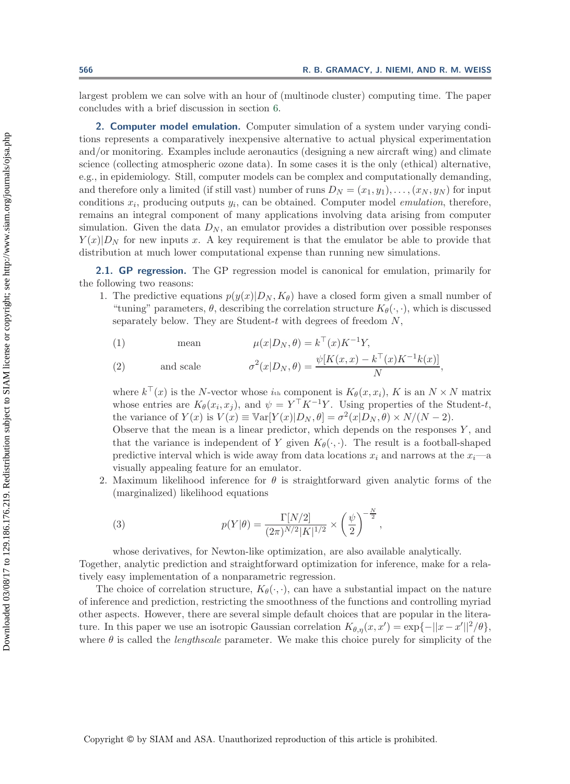largest problem we can solve with an hour of (multinode cluster) computing time. The paper concludes with a brief discussion in section [6.](#page-17-0)

<span id="page-2-0"></span>**2. Computer model emulation.** Computer simulation of a system under varying conditions represents a comparatively inexpensive alternative to actual physical experimentation and/or monitoring. Examples include aeronautics (designing a new aircraft wing) and climate science (collecting atmospheric ozone data). In some cases it is the only (ethical) alternative, e.g., in epidemiology. Still, computer models can be complex and computationally demanding, and therefore only a limited (if still vast) number of runs  $D_N = (x_1, y_1), \ldots, (x_N, y_N)$  for input conditions  $x_i$ , producing outputs  $y_i$ , can be obtained. Computer model *emulation*, therefore, remains an integral component of many applications involving data arising from computer simulation. Given the data  $D_N$ , an emulator provides a distribution over possible responses  $Y(x)|D_N$  for new inputs x. A key requirement is that the emulator be able to provide that distribution at much lower computational expense than running new simulations.

**2.1. GP regression.** The GP regression model is canonical for emulation, primarily for the following two reasons:

1. The predictive equations  $p(y(x)|D_N, K_\theta)$  have a closed form given a small number of "tuning" parameters,  $\theta$ , describing the correlation structure  $K_{\theta}(\cdot, \cdot)$ , which is discussed separately below. They are Student- $t$  with degrees of freedom  $N$ ,

<span id="page-2-1"></span>(1) mean 
$$
\mu(x|D_N, \theta) = k^{\top}(x)K^{-1}Y,
$$

<span id="page-2-2"></span>(2) and scale 
$$
\sigma^2(x|D_N, \theta) = \frac{\psi[K(x, x) - k^\top(x)K^{-1}k(x)]}{N},
$$

where  $k^{\top}(x)$  is the N-vector whose  $i_{th}$  component is  $K_{\theta}(x, x_i)$ , K is an  $N \times N$  matrix whose entries are  $K_{\theta}(x_i, x_j)$ , and  $\psi = Y^{\top} K^{-1} Y$ . Using properties of the Student-t, the variance of  $Y(x)$  is  $V(x) \equiv \text{Var}[Y(x)|D_N, \theta] = \sigma^2(x|D_N, \theta) \times N/(N-2)$ .

Observe that the mean is a linear predictor, which depends on the responses  $Y$ , and that the variance is independent of Y given  $K_{\theta}(\cdot, \cdot)$ . The result is a football-shaped predictive interval which is wide away from data locations  $x_i$  and narrows at the  $x_i$ —a visually appealing feature for an emulator.

2. Maximum likelihood inference for  $\theta$  is straightforward given analytic forms of the (marginalized) likelihood equations

(3) 
$$
p(Y|\theta) = \frac{\Gamma[N/2]}{(2\pi)^{N/2}|K|^{1/2}} \times \left(\frac{\psi}{2}\right)^{-\frac{N}{2}},
$$

whose derivatives, for Newton-like optimization, are also available analytically.

Together, analytic prediction and straightforward optimization for inference, make for a relatively easy implementation of a nonparametric regression.

The choice of correlation structure,  $K_{\theta}(\cdot, \cdot)$ , can have a substantial impact on the nature of inference and prediction, restricting the smoothness of the functions and controlling myriad other aspects. However, there are several simple default choices that are popular in the literature. In this paper we use an isotropic Gaussian correlation  $K_{\theta,\eta}(x,x') = \exp\{-||x-x'||^2/\theta\}$ , where  $\theta$  is called the *lengthscale* parameter. We make this choice purely for simplicity of the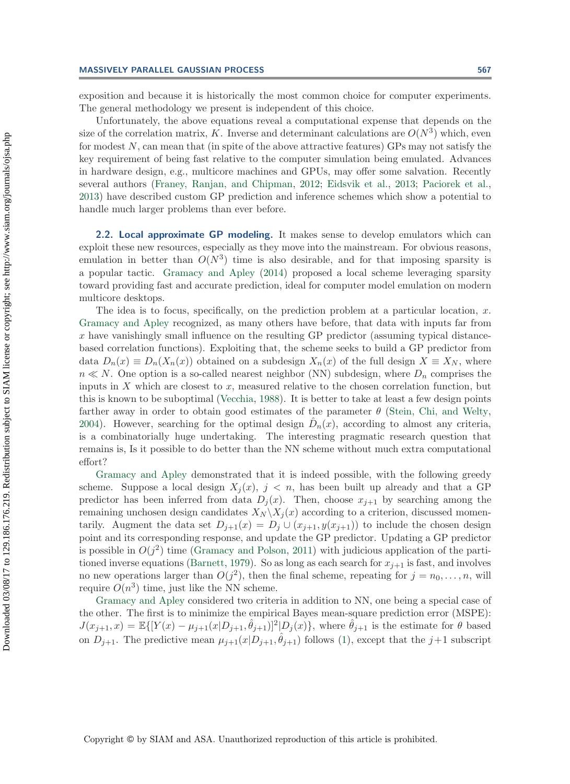exposition and because it is historically the most common choice for computer experiments. The general methodology we present is independent of this choice.

Unfortunately, the above equations reveal a computational expense that depends on the size of the correlation matrix, K. Inverse and determinant calculations are  $O(N^3)$  which, even for modest  $N$ , can mean that (in spite of the above attractive features) GPs may not satisfy the key requirement of being fast relative to the computer simulation being emulated. Advances in hardware design, e.g., multicore machines and GPUs, may offer some salvation. Recently several authors [\(Franey, Ranjan, and Chipman,](#page-19-11) [2012;](#page-19-11) [Eidsvik et al.,](#page-19-7) [2013](#page-19-7); [Paciorek et al.,](#page-20-4) [2013\)](#page-20-4) have described custom GP prediction and inference schemes which show a potential to handle much larger problems than ever before.

<span id="page-3-0"></span>**2.2. Local approximate GP modeling.** It makes sense to develop emulators which can exploit these new resources, especially as they move into the mainstream. For obvious reasons, emulation in better than  $O(N^3)$  time is also desirable, and for that imposing sparsity is a popular tactic. [Gramacy and Apley](#page-19-9) [\(2014\)](#page-19-9) proposed a local scheme leveraging sparsity toward providing fast and accurate prediction, ideal for computer model emulation on modern multicore desktops.

The idea is to focus, specifically, on the prediction problem at a particular location,  $x$ . [Gramacy and Apley](#page-19-9) recognized, as many others have before, that data with inputs far from  $x$  have vanishingly small influence on the resulting GP predictor (assuming typical distancebased correlation functions). Exploiting that, the scheme seeks to build a GP predictor from data  $D_n(x) \equiv D_n(X_n(x))$  obtained on a subdesign  $X_n(x)$  of the full design  $X \equiv X_N$ , where  $n \ll N$ . One option is a so-called nearest neighbor (NN) subdesign, where  $D_n$  comprises the inputs in  $X$  which are closest to  $x$ , measured relative to the chosen correlation function, but this is known to be suboptimal [\(Vecchia](#page-20-5), [1988](#page-20-5)). It is better to take at least a few design points farther away in order to obtain good estimates of the parameter  $\theta$  [\(Stein, Chi, and Welty,](#page-20-7) [2004\)](#page-20-7). However, searching for the optimal design  $\hat{D}_n(x)$ , according to almost any criteria, is a combinatorially huge undertaking. The interesting pragmatic research question that remains is, Is it possible to do better than the NN scheme without much extra computational [effort?](#page-19-9)

Gramacy and Apley demonstrated that it is indeed possible, with the following greedy scheme. Suppose a local design  $X_i(x)$ ,  $j < n$ , has been built up already and that a GP predictor has been inferred from data  $D_i(x)$ . Then, choose  $x_{i+1}$  by searching among the remaining unchosen design candidates  $X_N \backslash X_j(x)$  according to a criterion, discussed momentarily. Augment the data set  $D_{i+1}(x) = D_i \cup (x_{i+1}, y(x_{i+1}))$  to include the chosen design point and its corresponding response, and update the GP predictor. Updating a GP predictor is possible in  $O(j^2)$  time [\(Gramacy and Polson,](#page-19-13) [2011\)](#page-19-13) with judicious application of the parti-tioned inverse equations [\(Barnett](#page-19-14), [1979](#page-19-14)). So as long as each search for  $x_{i+1}$  is fast, and involves no new operations larger than  $O(j^2)$ , then the final scheme, repeating for  $j = n_0, \ldots, n$ , will require  $O(n^3)$  $O(n^3)$  [time,](#page-19-9) [just](#page-19-9) like the NN scheme.

Gramacy and Apley considered two criteria in addition to NN, one being a special case of the other. The first is to minimize the empirical Bayes mean-square prediction error (MSPE):  $J(x_{j+1}, x) = \mathbb{E}\{[Y(x) - \mu_{j+1}(x|D_{j+1}, \hat{\theta}_{j+1})]^2 | D_j(x)\}\$ , where  $\hat{\theta}_{j+1}$  is the estimate for  $\theta$  based on  $D_{j+1}$ . The predictive mean  $\mu_{j+1}(x|D_{j+1}, \hat{\theta}_{j+1})$  follows [\(1\)](#page-2-1), except that the  $j+1$  subscript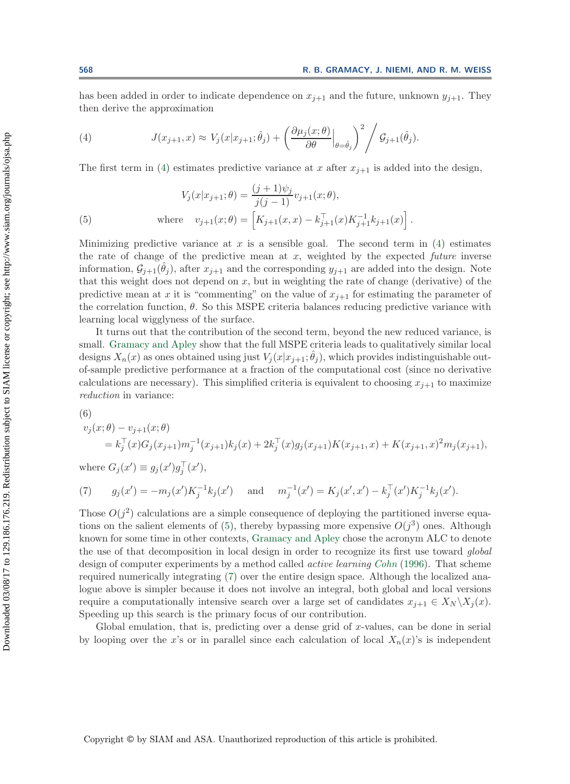<span id="page-4-0"></span>has been added in order to indicate dependence on  $x_{j+1}$  and the future, unknown  $y_{j+1}$ . They then derive the approximation

(4) 
$$
J(x_{j+1}, x) \approx V_j(x|x_{j+1}; \hat{\theta}_j) + \left(\frac{\partial \mu_j(x; \theta)}{\partial \theta}\Big|_{\theta = \hat{\theta}_j}\right)^2 \left/ \mathcal{G}_{j+1}(\hat{\theta}_j).
$$

The first term in [\(4\)](#page-4-0) estimates predictive variance at x after  $x_{i+1}$  is added into the design,

<span id="page-4-1"></span>(5) 
$$
V_j(x|x_{j+1};\theta) = \frac{(j+1)\psi_j}{j(j-1)} v_{j+1}(x;\theta),
$$

$$
\text{where } v_{j+1}(x;\theta) = \left[K_{j+1}(x,x) - k_{j+1}^\top(x)K_{j+1}^{-1}k_{j+1}(x)\right].
$$

Minimizing predictive variance at x is a sensible goal. The second term in  $(4)$  estimates the rate of change of the predictive mean at  $x$ , weighted by the expected *future* inverse information,  $\mathcal{G}_{i+1}(\hat{\theta}_i)$ , after  $x_{i+1}$  and the corresponding  $y_{i+1}$  are added into the design. Note that this weight does not depend on  $x$ , but in weighting the rate of change (derivative) of the predictive mean at x it is "commenting" on the value of  $x_{i+1}$  for estimating the parameter of the correlation function,  $\theta$ . So this MSPE criteria balances reducing predictive variance with learning local wigglyness of the surface.

It turns out that the contribution of the second term, beyond the new reduced variance, is small. [Gramacy and Apley](#page-19-9) show that the full MSPE criteria leads to qualitatively similar local designs  $X_n(x)$  as ones obtained using just  $V_j(x|x_{j+1}; \theta_j)$ , which provides indistinguishable outof-sample predictive performance at a fraction of the computational cost (since no derivative calculations are necessary). This simplified criteria is equivalent to choosing  $x_{j+1}$  to maximize *reduction* in variance:

<span id="page-4-3"></span>
$$
(6)
$$

$$
v_j(x; \theta) - v_{j+1}(x; \theta)
$$
  
=  $k_j^{\top}(x)G_j(x_{j+1})m_j^{-1}(x_{j+1})k_j(x) + 2k_j^{\top}(x)g_j(x_{j+1})K(x_{j+1}, x) + K(x_{j+1}, x)^2m_j(x_{j+1}),$ 

<span id="page-4-2"></span>where  $G_j(x') \equiv g_j(x')g_j^+(x'),$ 

(7) 
$$
g_j(x') = -m_j(x')K_j^{-1}k_j(x')
$$
 and  $m_j^{-1}(x') = K_j(x', x') - k_j^{-1}(x')K_j^{-1}k_j(x').$ 

Those  $O(j^2)$  calculations are a simple consequence of deploying the partitioned inverse equa-tions on the salient elements of [\(5\)](#page-4-1), thereby bypassing more expensive  $O(j^3)$  ones. Although known for some time in other contexts, [Gramacy and Apley](#page-19-9) chose the acronym ALC to denote the use of that decomposition in local design in order to recognize its first use toward *global* design of computer experiments by a method called *active learning [Cohn](#page-19-15)* [\(1996](#page-19-15)). That scheme required numerically integrating [\(7\)](#page-4-2) over the entire design space. Although the localized analogue above is simpler because it does not involve an integral, both global and local versions require a computationally intensive search over a large set of candidates  $x_{j+1} \in X_N \backslash X_j(x)$ . Speeding up this search is the primary focus of our contribution.

Global emulation, that is, predicting over a dense grid of  $x$ -values, can be done in serial by looping over the x's or in parallel since each calculation of local  $X_n(x)$ 's is independent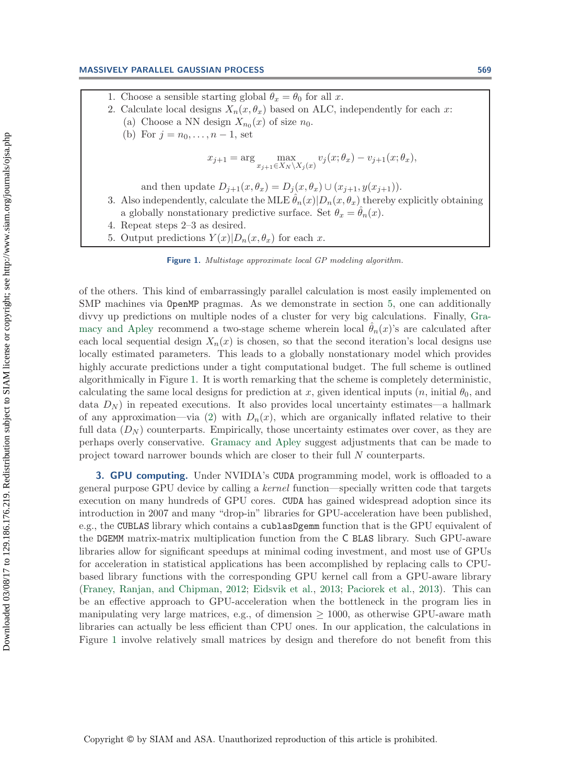#### **MASSIVELY PARALLEL GAUSSIAN PROCESS 569**

- 1. Choose a sensible starting global  $\theta_x = \theta_0$  for all x.
- 2. Calculate local designs  $X_n(x, \theta_x)$  based on ALC, independently for each x: (a) Choose a NN design  $X_{n_0}(x)$  of size  $n_0$ .
	- (b) For  $j = n_0, ..., n-1$ , set

$$
x_{j+1} = \arg\max_{x_{j+1} \in X_N \setminus X_j(x)} v_j(x; \theta_x) - v_{j+1}(x; \theta_x),
$$

and then update  $D_{j+1}(x, \theta_x) = D_j(x, \theta_x) \cup (x_{j+1}, y(x_{j+1})).$ 

3. Also independently, calculate the MLE  $\hat{\theta}_n(x)|D_n(x,\theta_x)$  thereby explicitly obtaining a globally nonstationary predictive surface. Set  $\theta_x = \theta_n(x)$ .

4. Repeat steps 2–3 as desired.

5. Output predictions  $Y(x)|D_n(x, \theta_x)$  for each x.

<span id="page-5-1"></span>**Figure 1.** Multistage approximate local GP modeling algorithm.

of the others. This kind of embarrassingly parallel calculation is most easily implemented on SMP machines via OpenMP pragmas. As we demonstrate in section [5,](#page-15-0) one can additionally divvy up predic[tions on multiple nodes of a cluster for very big calculations. Finally,](#page-19-9) Gramacy and Apley recommend a two-stage scheme wherein local  $\theta_n(x)$ 's are calculated after each local sequential design  $X_n(x)$  is chosen, so that the second iteration's local designs use locally estimated parameters. This leads to a globally nonstationary model which provides highly accurate predictions under a tight computational budget. The full scheme is outlined algorithmically in Figure [1.](#page-5-1) It is worth remarking that the scheme is completely deterministic, calculating the same local designs for prediction at x, given identical inputs  $(n, \text{ initial } \theta_0, \text{ and } \theta_n)$ data  $D_N$ ) in repeated executions. It also provides local uncertainty estimates—a hallmark of any approximation—via [\(2\)](#page-2-2) with  $D_n(x)$ , which are organically inflated relative to their full data  $(D_N)$  counterparts. Empirically, those uncertainty estimates over cover, as they are perhaps overly conservative. [Gramacy and Apley](#page-19-9) suggest adjustments that can be made to project toward narrower bounds which are closer to their full N counterparts.

<span id="page-5-0"></span>**3. GPU computing.** Under NVIDIA's CUDA programming model, work is offloaded to a general purpose GPU device by calling a *kernel* function—specially written code that targets execution on many hundreds of GPU cores. CUDA has gained widespread adoption since its introduction in 2007 and many "drop-in" libraries for GPU-acceleration have been published, e.g., the CUBLAS library which contains a cublasDgemm function that is the GPU equivalent of the DGEMM matrix-matrix multiplication function from the C BLAS library. Such GPU-aware libraries allow for significant speedups at minimal coding investment, and most use of GPUs for acceleration in statistical applications has been accomplished by replacing calls to CPUbased library functions with the corresponding GPU kernel call from a GPU-aware library [\(Franey, Ranjan, and Chipman,](#page-19-11) [2012](#page-19-11); [Eidsvik et al.](#page-19-7), [2013](#page-19-7); [Paciorek et al.,](#page-20-4) [2013\)](#page-20-4). This can be an effective approach to GPU-acceleration when the bottleneck in the program lies in manipulating very large matrices, e.g., of dimension  $\geq$  1000, as otherwise GPU-aware math libraries can actually be less efficient than CPU ones. In our application, the calculations in Figure [1](#page-5-1) involve relatively small matrices by design and therefore do not benefit from this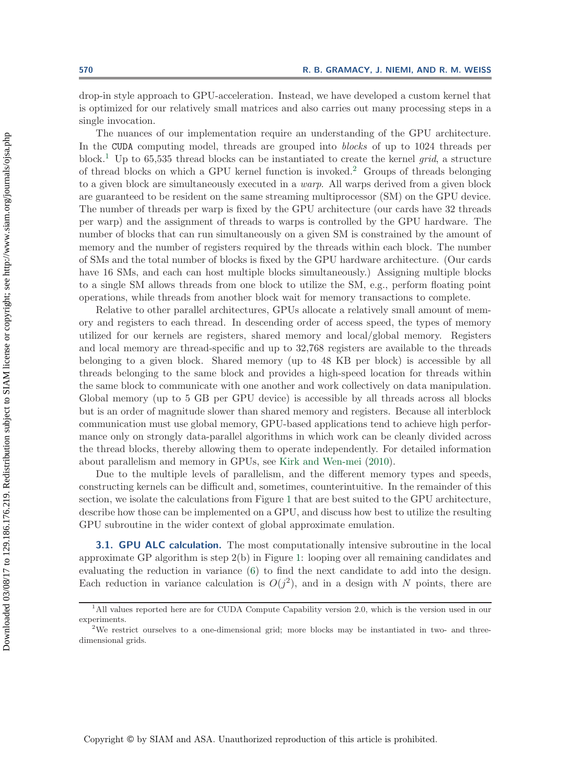drop-in style approach to GPU-acceleration. Instead, we have developed a custom kernel that is optimized for our relatively small matrices and also carries out many processing steps in a single invocation.

The nuances of our implementation require an understanding of the GPU architecture. In the CUDA computing model, threads are grouped into *blocks* of up to 1024 threads per block.[1](#page-6-0) Up to 65,535 thread blocks can be instantiated to create the kernel *grid*, a structure of thread blocks on which a GPU kernel function is invoked.[2](#page-6-1) Groups of threads belonging to a given block are simultaneously executed in a *warp*. All warps derived from a given block are guaranteed to be resident on the same streaming multiprocessor (SM) on the GPU device. The number of threads per warp is fixed by the GPU architecture (our cards have 32 threads per warp) and the assignment of threads to warps is controlled by the GPU hardware. The number of blocks that can run simultaneously on a given SM is constrained by the amount of memory and the number of registers required by the threads within each block. The number of SMs and the total number of blocks is fixed by the GPU hardware architecture. (Our cards have 16 SMs, and each can host multiple blocks simultaneously.) Assigning multiple blocks to a single SM allows threads from one block to utilize the SM, e.g., perform floating point operations, while threads from another block wait for memory transactions to complete.

Relative to other parallel architectures, GPUs allocate a relatively small amount of memory and registers to each thread. In descending order of access speed, the types of memory utilized for our kernels are registers, shared memory and local/global memory. Registers and local memory are thread-specific and up to 32,768 registers are available to the threads belonging to a given block. Shared memory (up to 48 KB per block) is accessible by all threads belonging to the same block and provides a high-speed location for threads within the same block to communicate with one another and work collectively on data manipulation. Global memory (up to 5 GB per GPU device) is accessible by all threads across all blocks but is an order of magnitude slower than shared memory and registers. Because all interblock communication must use global memory, GPU-based applications tend to achieve high performance only on strongly data-parallel algorithms in which work can be cleanly divided across the thread blocks, thereby allowing them to operate independently. For detailed information about parallelism and memory in GPUs, see [Kirk and Wen-mei](#page-19-16) [\(2010\)](#page-19-16).

Due to the multiple levels of parallelism, and the different memory types and speeds, constructing kernels can be difficult and, sometimes, counterintuitive. In the remainder of this section, we isolate the calculations from Figure [1](#page-5-1) that are best suited to the GPU architecture, describe how those can be implemented on a GPU, and discuss how best to utilize the resulting GPU subroutine in the wider context of global approximate emulation.

<span id="page-6-2"></span>**3.1. GPU ALC calculation.** The most computationally intensive subroutine in the local approximate GP algorithm is step 2(b) in Figure [1:](#page-5-1) looping over all remaining candidates and evaluating the reduction in variance [\(6\)](#page-4-3) to find the next candidate to add into the design. Each reduction in variance calculation is  $O(j^2)$ , and in a design with N points, there are

<span id="page-6-0"></span><sup>1</sup>All values reported here are for CUDA Compute Capability version 2.0, which is the version used in our experiments.<br><sup>2</sup>We restrict ourselves to a one-dimensional grid; more blocks may be instantiated in two- and three-

<span id="page-6-1"></span>dimensional grids.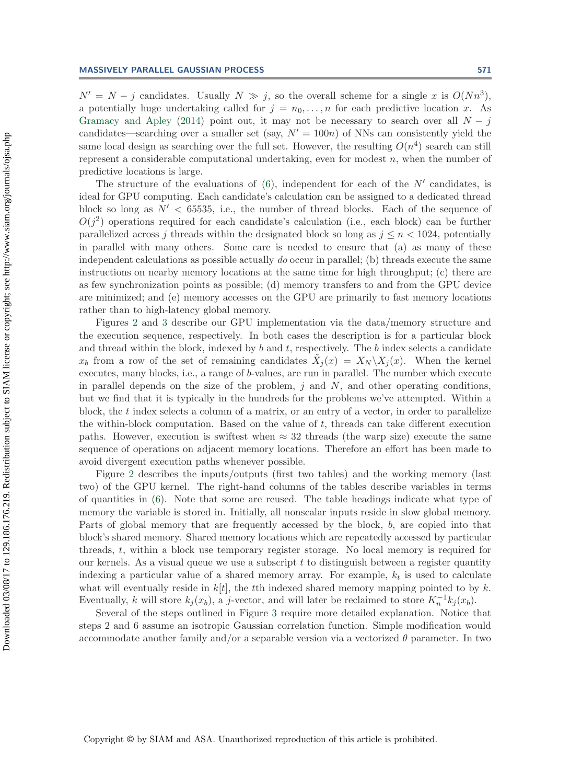$N' = N - j$  candidates. Usually  $N \gg j$ , so the overall scheme for a single x is  $O(Nn^3)$ , a potentially huge undertaking called for  $j = n_0, \ldots, n$  for each predictive location x. As [Gramacy and Apley](#page-19-9) [\(2014\)](#page-19-9) point out, it may not be necessary to search over all  $N - j$ candidates—searching over a smaller set (say,  $N' = 100n$ ) of NNs can consistently yield the same local design as searching over the full set. However, the resulting  $O(n^4)$  search can still represent a considerable computational undertaking, even for modest  $n$ , when the number of predictive locations is large.

The structure of the evaluations of  $(6)$ , independent for each of the N' candidates, is ideal for GPU computing. Each candidate's calculation can be assigned to a dedicated thread block so long as  $N' < 65535$ , i.e., the number of thread blocks. Each of the sequence of  $O(i^2)$  operations required for each candidate's calculation (i.e., each block) can be further parallelized across j threads within the designated block so long as  $j \leq n < 1024$ , potentially in parallel with many others. Some care is needed to ensure that (a) as many of these independent calculations as possible actually *do* occur in parallel; (b) threads execute the same instructions on nearby memory locations at the same time for high throughput; (c) there are as few synchronization points as possible; (d) memory transfers to and from the GPU device are minimized; and (e) memory accesses on the GPU are primarily to fast memory locations rather than to high-latency global memory.

Figures [2](#page-8-0) and [3](#page-9-0) describe our GPU implementation via the data/memory structure and the execution sequence, respectively. In both cases the description is for a particular block and thread within the block, indexed by  $b$  and  $t$ , respectively. The  $b$  index selects a candidate  $x_b$  from a row of the set of remaining candidates  $\tilde{X}_j(x) = X_N \backslash X_j(x)$ . When the kernel executes, many blocks, i.e., a range of b-values, are run in parallel. The number which execute in parallel depends on the size of the problem,  $j$  and  $N$ , and other operating conditions, but we find that it is typically in the hundreds for the problems we've attempted. Within a block, the  $t$  index selects a column of a matrix, or an entry of a vector, in order to parallelize the within-block computation. Based on the value of  $t$ , threads can take different execution paths. However, execution is swiftest when  $\approx 32$  threads (the warp size) execute the same sequence of operations on adjacent memory locations. Therefore an effort has been made to avoid divergent execution paths whenever possible.

Figure [2](#page-8-0) describes the inputs/outputs (first two tables) and the working memory (last two) of the GPU kernel. The right-hand columns of the tables describe variables in terms of quantities in [\(6\)](#page-4-3). Note that some are reused. The table headings indicate what type of memory the variable is stored in. Initially, all nonscalar inputs reside in slow global memory. Parts of global memory that are frequently accessed by the block, b, are copied into that block's shared memory. Shared memory locations which are repeatedly accessed by particular threads, t, within a block use temporary register storage. No local memory is required for our kernels. As a visual queue we use a subscript  $t$  to distinguish between a register quantity indexing a particular value of a shared memory array. For example,  $k_t$  is used to calculate what will eventually reside in  $k[t]$ , the tth indexed shared memory mapping pointed to by k. Eventually, k will store  $k_j(x_b)$ , a j-vector, and will later be reclaimed to store  $K_n^{-1}k_j(x_b)$ .

Several of the steps outlined in Figure [3](#page-9-0) require more detailed explanation. Notice that steps 2 and 6 assume an isotropic Gaussian correlation function. Simple modification would accommodate another family and/or a separable version via a vectorized  $\theta$  parameter. In two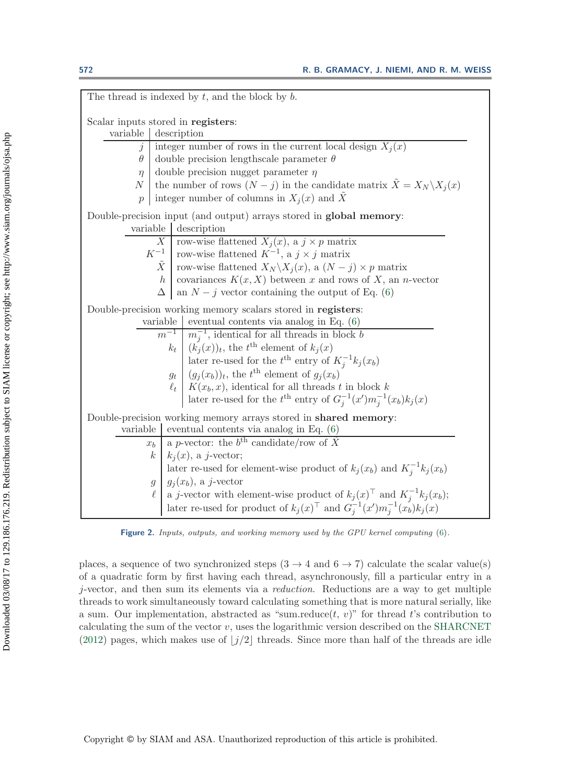| The thread is indexed by $t$ , and the block by $b$ .                                                                                                                                                               |                                                                                                |  |  |  |  |  |  |  |
|---------------------------------------------------------------------------------------------------------------------------------------------------------------------------------------------------------------------|------------------------------------------------------------------------------------------------|--|--|--|--|--|--|--|
| Scalar inputs stored in registers:                                                                                                                                                                                  |                                                                                                |  |  |  |  |  |  |  |
| variable description                                                                                                                                                                                                |                                                                                                |  |  |  |  |  |  |  |
| $\dot{\jmath}$                                                                                                                                                                                                      | integer number of rows in the current local design $X_i(x)$                                    |  |  |  |  |  |  |  |
| $\theta$                                                                                                                                                                                                            | double precision lengthscale parameter $\theta$                                                |  |  |  |  |  |  |  |
| $\eta$                                                                                                                                                                                                              | double precision nugget parameter $\eta$                                                       |  |  |  |  |  |  |  |
| N                                                                                                                                                                                                                   | the number of rows $(N - j)$ in the candidate matrix $\ddot{X} = X_N \backslash X_j(x)$        |  |  |  |  |  |  |  |
| $\overline{p}$                                                                                                                                                                                                      | integer number of columns in $X_i(x)$ and $\tilde{X}$                                          |  |  |  |  |  |  |  |
| Double-precision input (and output) arrays stored in global memory:                                                                                                                                                 |                                                                                                |  |  |  |  |  |  |  |
| variable description                                                                                                                                                                                                |                                                                                                |  |  |  |  |  |  |  |
| <i>X</i> row-wise flattened $X_j(x)$ , a $j \times p$ matrix<br>$K^{-1}$ row-wise flattened $K^{-1}$ , a $j \times j$ matrix<br>$\tilde{X}$ row-wise flattened $X_N \setminus X_j(x)$ , a $(N - j) \times p$ matrix |                                                                                                |  |  |  |  |  |  |  |
|                                                                                                                                                                                                                     |                                                                                                |  |  |  |  |  |  |  |
|                                                                                                                                                                                                                     |                                                                                                |  |  |  |  |  |  |  |
| h                                                                                                                                                                                                                   | covariances $K(x, X)$ between x and rows of X, an n-vector                                     |  |  |  |  |  |  |  |
| $\Delta$                                                                                                                                                                                                            | an $N-j$ vector containing the output of Eq. (6)                                               |  |  |  |  |  |  |  |
|                                                                                                                                                                                                                     | Double-precision working memory scalars stored in registers:                                   |  |  |  |  |  |  |  |
|                                                                                                                                                                                                                     | variable   eventual contents via analog in Eq. $(6)$                                           |  |  |  |  |  |  |  |
|                                                                                                                                                                                                                     | $\frac{1}{m^{-1}}$ $\frac{1}{m_i^{-1}}$ , identical for all threads in block b                 |  |  |  |  |  |  |  |
|                                                                                                                                                                                                                     | $k_t$ $(k_j(x))_t$ , the $t^{\text{th}}$ element of $k_j(x)$                                   |  |  |  |  |  |  |  |
|                                                                                                                                                                                                                     | later re-used for the $t^{\text{th}}$ entry of $K_j^{-1}k_j(x_b)$                              |  |  |  |  |  |  |  |
|                                                                                                                                                                                                                     | $g_t$ $(g_i(x_b))_t$ , the $t^{\text{th}}$ element of $g_i(x_b)$                               |  |  |  |  |  |  |  |
| $\ell_t$                                                                                                                                                                                                            | $K(x_b, x)$ , identical for all threads t in block k                                           |  |  |  |  |  |  |  |
| later re-used for the $t^{\text{th}}$ entry of $G_i^{-1}(x')m_i^{-1}(x_b)k_j(x)$                                                                                                                                    |                                                                                                |  |  |  |  |  |  |  |
| Double-precision working memory arrays stored in shared memory:                                                                                                                                                     |                                                                                                |  |  |  |  |  |  |  |
| variable                                                                                                                                                                                                            | eventual contents via analog in Eq. $(6)$                                                      |  |  |  |  |  |  |  |
| x <sub>b</sub>                                                                                                                                                                                                      | a p-vector: the $b^{\text{th}}$ candidate/row of $\tilde{X}$                                   |  |  |  |  |  |  |  |
| $\boldsymbol{k}$                                                                                                                                                                                                    | $k_i(x)$ , a j-vector;                                                                         |  |  |  |  |  |  |  |
|                                                                                                                                                                                                                     | later re-used for element-wise product of $k_j(x_b)$ and $K_j^{-1}k_j(x_b)$                    |  |  |  |  |  |  |  |
| $\mathfrak{g}$                                                                                                                                                                                                      | $g_i(x_b)$ , a j-vector                                                                        |  |  |  |  |  |  |  |
| ł.                                                                                                                                                                                                                  | a <i>j</i> -vector with element-wise product of $k_j(x)$ <sup>T</sup> and $K_j^{-1}k_j(x_b)$ ; |  |  |  |  |  |  |  |
|                                                                                                                                                                                                                     | later re-used for product of $k_j(x)$ <sup>T</sup> and $G_j^{-1}(x')m_j^{-1}(x_b)k_j(x)$       |  |  |  |  |  |  |  |

<span id="page-8-0"></span>**Figure 2.** Inputs, outputs, and working memory used by the GPU kernel computing [\(6\)](#page-4-3).

places, a sequence of two synchronized steps  $(3 \rightarrow 4 \text{ and } 6 \rightarrow 7)$  calculate the scalar value(s) of a quadratic form by first having each thread, asynchronously, fill a particular entry in a j-vector, and then sum its elements via a *reduction*. Reductions are a way to get multiple threads to work simultaneously toward calculating something that is more natural serially, like a sum. Our implementation, abstracted as "sum.reduce $(t, v)$ " for thread t's contribution to calculating the sum of the vector  $v$ , uses the logarithmic version described on the [SHARCNET](#page-20-11) [\(2012\)](#page-20-11) pages, which makes use of  $|j/2|$  threads. Since more than half of the threads are idle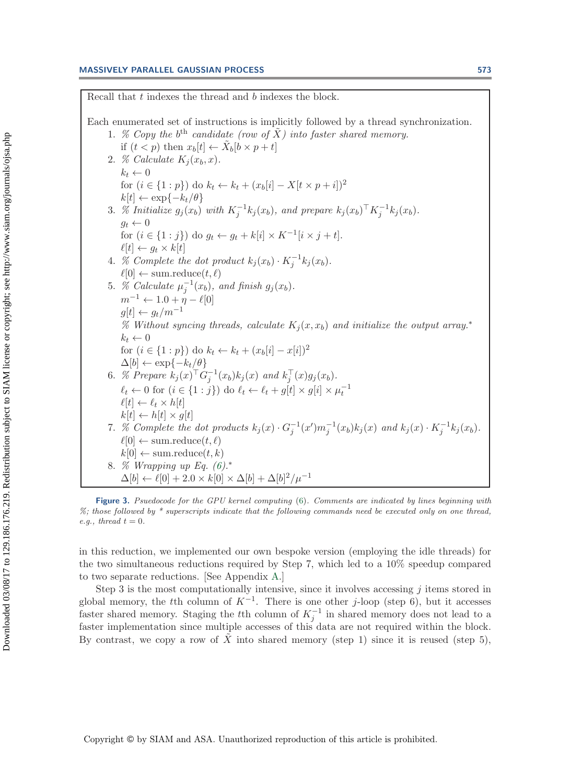### **MASSIVELY PARALLEL GAUSSIAN PROCESS 573**

Recall that t indexes the thread and b indexes the block. Each enumerated set of instructions is implicitly followed by a thread synchronization. 1. *% Copy the*  $b^{th}$  *candidate (row of*  $\tilde{X}$ *) into faster shared memory.* if  $(t < p)$  then  $x_b[t] \leftarrow \tilde{X}_b[b \times p + t]$ 2. *% Calculate*  $K_i(x_b, x)$ .  $k_t \leftarrow 0$ for  $(i \in \{1 : p\})$  do  $k_t \leftarrow k_t + (x_b[i] - X[k \times p + i])^2$  $k[t] \leftarrow \exp\{-k_t/\theta\}$ 3. *% Initialize*  $g_j(x_b)$  *with*  $K_j^{-1}k_j(x_b)$ , and prepare  $k_j(x_b)^\top K_j^{-1}k_j(x_b)$ .<br> $g_i \leftarrow 0$  $g_t \leftarrow 0$ for  $(i \in \{1 : j\})$  do  $g_t \leftarrow g_t + k[i] \times K^{-1}[i \times j + t].$  $\ell[t] \leftarrow g_t \times k[t]$ 4. *%* Complete the dot product  $k_j(x_b) \cdot K_j^{-1} k_j(x_b)$ .<br>  $\ell[\Omega] \leftarrow \text{sum reduce}(t, \ell)$  $\ell[0] \leftarrow \text{sum-reduce}(t, \ell)$ 5. *% Calculate*  $\mu_j^{-1}(x_b)$ *, and finish g<sub>j</sub>*( $x_b$ )*.*  $\mu_j^{-1}(x_b)$  $m^{-1} \leftarrow 1.0 + \eta - \ell[0]$  $g[t] \leftarrow g_t/m^{-1}$ % Without syncing threads, calculate  $K_i(x, x_b)$  and initialize the output array.<sup>∗</sup>  $k_t \leftarrow 0$ for  $(i \in \{1 : p\})$  do  $k_t \leftarrow k_t + (x_b[i] - x[i])^2$ <br>
∆[b] ← exp{- $k_t/\theta$ }  $\Delta[b] \leftarrow \exp\{-k_t/\theta\}$ <br>  $\%$  Prenare  $k_t(x)$ <sup>T</sup>C 6. *% Prepare*  $k_j(x)^\top G_j^{-1}(x_b)k_j(x)$  and  $k_j^\top(x)g_j(x_b)$ .  $\ell_t \leftarrow 0$  for  $(i \in \{1 : j\})$  do  $\ell_t \leftarrow \ell_t + g[t] \times g[i] \times \mu_t^{-1}$  $\ell[t] \leftarrow \ell_t \times h[t]$ <br> $k[t] \leftarrow h[t] \times g[t]$  $k[t] \leftarrow h[t] \times g[t]$ <br>% Complete the 7. *% Complete the dot products*  $k_j(x) \cdot G_j^{-1}(x') m_j^{-1}(x_b) k_j(x)$  and  $k_j(x) \cdot K_j^{-1} k_j(x_b)$ .<br>  $\ell[\Omega] \leftarrow \text{sum reduced}(t, \ell)$  $\ell[0] \leftarrow \text{sum-reduce}(t, \ell)$  $k[0] \leftarrow \text{sum-reduce}(t, k)$ 8. *% Wrapping up Eq. [\(6\)](#page-4-3).*∗  $\Delta[b] \leftarrow \ell[0] + 2.0 \times k[0] \times \Delta[b] + \Delta[b]^2 / \mu^{-1}$ 

<span id="page-9-0"></span>**Figure 3.** Psuedocode for the GPU kernel computing [\(6\)](#page-4-3). Comments are indicated by lines beginning with %; those followed by \* superscripts indicate that the following commands need be executed only on one thread, e.g., thread  $t = 0$ .

in this reduction, we implemented our own bespoke version (employing the idle threads) for the two simultaneous reductions required by Step 7, which led to a 10% speedup compared to two separate reductions. [See Appendix [A.](#page-18-0)]

Step 3 is the most computationally intensive, since it involves accessing  $j$  items stored in global memory, the tth column of  $K^{-1}$ . There is one other j-loop (step 6), but it accesses faster shared memory. Staging the tth column of  $K_j^{-1}$  in shared memory does not lead to a<br>faster implementation since multiple accesses of this data are not required within the block faster implementation since multiple accesses of this data are not required within the block. By contrast, we copy a row of X into shared memory (step 1) since it is reused (step 5),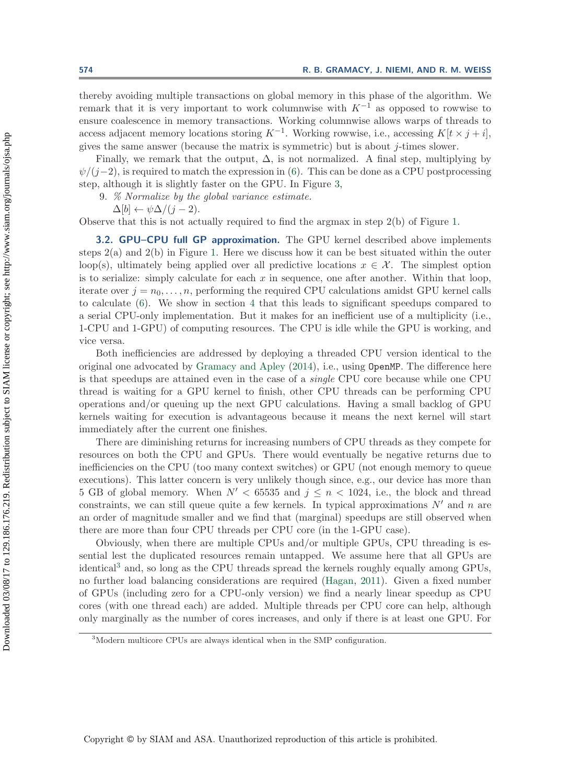thereby avoiding multiple transactions on global memory in this phase of the algorithm. We remark that it is very important to work columnwise with  $K^{-1}$  as opposed to rowwise to ensure coalescence in memory transactions. Working columnwise allows warps of threads to access adjacent memory locations storing  $K^{-1}$ . Working rowwise, i.e., accessing  $K[t \times j + i]$ , gives the same answer (because the matrix is symmetric) but is about  $j$ -times slower.

Finally, we remark that the output,  $\Delta$ , is not normalized. A final step, multiplying by  $\psi/(i-2)$ , is required to match the expression in [\(6\)](#page-4-3). This can be done as a CPU postprocessing step, although it is slightly faster on the GPU. In Figure [3,](#page-9-0)

9. *% Normalize by the global variance estimate.*

 $\Delta[b] \leftarrow \psi \Delta / (i-2).$ 

Observe that this is not actually required to find the argmax in step 2(b) of Figure [1.](#page-5-1)

**3.2. GPU–CPU full GP approximation.** The GPU kernel described above implements steps  $2(a)$  and  $2(b)$  in Figure [1.](#page-5-1) Here we discuss how it can be best situated within the outer loop(s), ultimately being applied over all predictive locations  $x \in \mathcal{X}$ . The simplest option is to serialize: simply calculate for each x in sequence, one after another. Within that loop, iterate over  $j = n_0, \ldots, n$ , performing the required CPU calculations amidst GPU kernel calls to calculate [\(6\)](#page-4-3). We show in section [4](#page-11-0) that this leads to significant speedups compared to a serial CPU-only implementation. But it makes for an inefficient use of a multiplicity (i.e., 1-CPU and 1-GPU) of computing resources. The CPU is idle while the GPU is working, and vice versa.

Both inefficiencies are addressed by deploying a threaded CPU version identical to the original one advocated by [Gramacy and Apley](#page-19-9) [\(2014\)](#page-19-9), i.e., using OpenMP. The difference here is that speedups are attained even in the case of a *single* CPU core because while one CPU thread is waiting for a GPU kernel to finish, other CPU threads can be performing CPU operations and/or queuing up the next GPU calculations. Having a small backlog of GPU kernels waiting for execution is advantageous because it means the next kernel will start immediately after the current one finishes.

There are diminishing returns for increasing numbers of CPU threads as they compete for resources on both the CPU and GPUs. There would eventually be negative returns due to inefficiencies on the CPU (too many context switches) or GPU (not enough memory to queue executions). This latter concern is very unlikely though since, e.g., our device has more than 5 GB of global memory. When  $N' < 65535$  and  $j \leq n < 1024$ , i.e., the block and thread constraints, we can still queue quite a few kernels. In typical approximations  $N'$  and n are an order of magnitude smaller and we find that (marginal) speedups are still observed when there are more than four CPU threads per CPU core (in the 1-GPU case).

Obviously, when there are multiple CPUs and/or multiple GPUs, CPU threading is essential lest the duplicated resources remain untapped. We assume here that all GPUs are identical<sup>[3](#page-10-0)</sup> and, so long as the CPU threads spread the kernels roughly equally among GPUs, no further load balancing considerations are required [\(Hagan](#page-19-17), [2011](#page-19-17)). Given a fixed number of GPUs (including zero for a CPU-only version) we find a nearly linear speedup as CPU cores (with one thread each) are added. Multiple threads per CPU core can help, although only marginally as the number of cores increases, and only if there is at least one GPU. For

<span id="page-10-0"></span><sup>3</sup>Modern multicore CPUs are always identical when in the SMP configuration.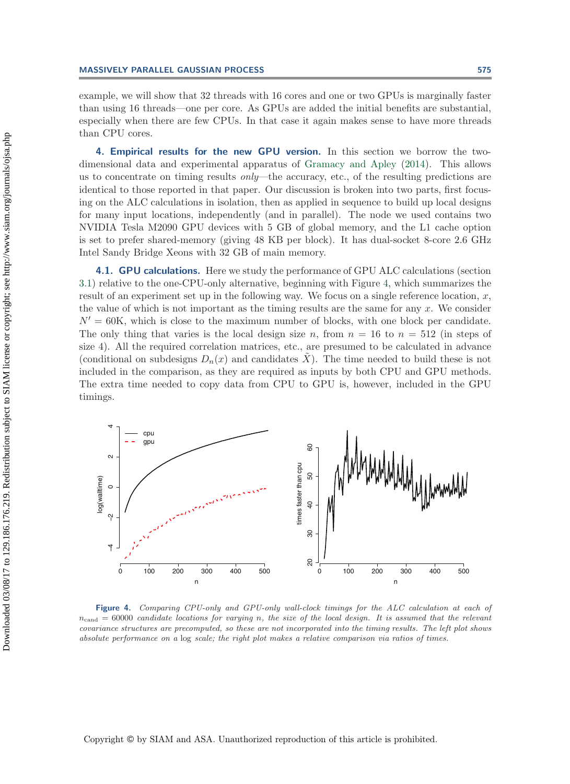example, we will show that 32 threads with 16 cores and one or two GPUs is marginally faster than using 16 threads—one per core. As GPUs are added the initial benefits are substantial, especially when there are few CPUs. In that case it again makes sense to have more threads than CPU cores.

<span id="page-11-0"></span>**4. Empirical results for the new GPU version.** In this section we borrow the twodimensional data and experimental apparatus of [Gramacy and Apley](#page-19-9) [\(2014\)](#page-19-9). This allows us to concentrate on timing results *only*—the accuracy, etc., of the resulting predictions are identical to those reported in that paper. Our discussion is broken into two parts, first focusing on the ALC calculations in isolation, then as applied in sequence to build up local designs for many input locations, independently (and in parallel). The node we used contains two NVIDIA Tesla M2090 GPU devices with 5 GB of global memory, and the L1 cache option is set to prefer shared-memory (giving 48 KB per block). It has dual-socket 8-core 2.6 GHz Intel Sandy Bridge Xeons with 32 GB of main memory.

<span id="page-11-2"></span>**4.1. GPU calculations.** Here we study the performance of GPU ALC calculations (section [3.1\)](#page-6-2) relative to the one-CPU-only alternative, beginning with Figure [4,](#page-11-1) which summarizes the result of an experiment set up in the following way. We focus on a single reference location,  $x$ , the value of which is not important as the timing results are the same for any  $x$ . We consider  $N' = 60$ K, which is close to the maximum number of blocks, with one block per candidate. The only thing that varies is the local design size n, from  $n = 16$  to  $n = 512$  (in steps of size 4). All the required correlation matrices, etc., are presumed to be calculated in advance (conditional on subdesigns  $D_n(x)$  and candidates  $\tilde{X}$ ). The time needed to build these is not included in the comparison, as they are required as inputs by both CPU and GPU methods. The extra time needed to copy data from CPU to GPU is, however, included in the GPU timings.



<span id="page-11-1"></span>**Figure 4.** Comparing CPU-only and GPU-only wall-clock timings for the ALC calculation at each of  $n_{\text{cand}} = 60000$  candidate locations for varying *n*, the size of the local design. It is assumed that the relevant covariance structures are precomputed, so these are not incorporated into the timing results. The left plot shows absolute performance on a log scale; the right plot makes a relative comparison via ratios of times.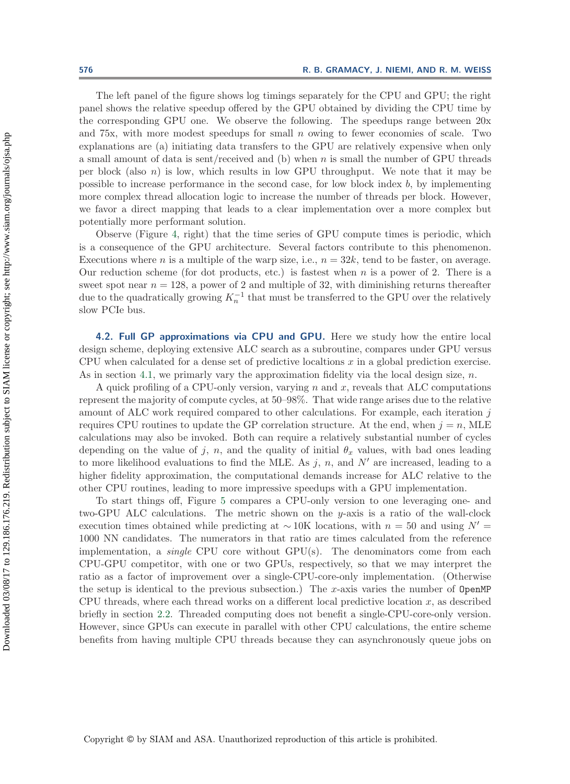The left panel of the figure shows log timings separately for the CPU and GPU; the right panel shows the relative speedup offered by the GPU obtained by dividing the CPU time by the corresponding GPU one. We observe the following. The speedups range between 20x and  $75x$ , with more modest speedups for small n owing to fewer economies of scale. Two explanations are (a) initiating data transfers to the GPU are relatively expensive when only a small amount of data is sent/received and (b) when n is small the number of GPU threads per block (also  $n$ ) is low, which results in low GPU throughput. We note that it may be possible to increase performance in the second case, for low block index  $b$ , by implementing more complex thread allocation logic to increase the number of threads per block. However, we favor a direct mapping that leads to a clear implementation over a more complex but potentially more performant solution.

Observe (Figure [4,](#page-11-1) right) that the time series of GPU compute times is periodic, which is a consequence of the GPU architecture. Several factors contribute to this phenomenon. Executions where *n* is a multiple of the warp size, i.e.,  $n = 32k$ , tend to be faster, on average. Our reduction scheme (for dot products, etc.) is fastest when  $n$  is a power of 2. There is a sweet spot near  $n = 128$ , a power of 2 and multiple of 32, with diminishing returns thereafter due to the quadratically growing  $K_n^{-1}$  that must be transferred to the GPU over the relatively slow PCIe bus.

<span id="page-12-0"></span>**4.2. Full GP approximations via CPU and GPU.** Here we study how the entire local design scheme, deploying extensive ALC search as a subroutine, compares under GPU versus CPU when calculated for a dense set of predictive localtions  $x$  in a global prediction exercise. As in section [4.1,](#page-11-2) we primarly vary the approximation fidelity via the local design size,  $n$ .

A quick profiling of a CPU-only version, varying  $n$  and  $x$ , reveals that ALC computations represent the majority of compute cycles, at 50–98%. That wide range arises due to the relative amount of ALC work required compared to other calculations. For example, each iteration j requires CPU routines to update the GP correlation structure. At the end, when  $j = n$ , MLE calculations may also be invoked. Both can require a relatively substantial number of cycles depending on the value of j, n, and the quality of initial  $\theta_x$  values, with bad ones leading to more likelihood evaluations to find the MLE. As  $j$ ,  $n$ , and  $N'$  are increased, leading to a higher fidelity approximation, the computational demands increase for ALC relative to the other CPU routines, leading to more impressive speedups with a GPU implementation.

To start things off, Figure [5](#page-13-0) compares a CPU-only version to one leveraging one- and two-GPU ALC calculations. The metric shown on the y-axis is a ratio of the wall-clock execution times obtained while predicting at ~10K locations, with  $n = 50$  and using  $N' =$ 1000 NN candidates. The numerators in that ratio are times calculated from the reference implementation, a *single* CPU core without GPU(s). The denominators come from each CPU-GPU competitor, with one or two GPUs, respectively, so that we may interpret the ratio as a factor of improvement over a single-CPU-core-only implementation. (Otherwise the setup is identical to the previous subsection.) The x-axis varies the number of  $OpenMP$ CPU threads, where each thread works on a different local predictive location  $x$ , as described briefly in section [2.2.](#page-3-0) Threaded computing does not benefit a single-CPU-core-only version. However, since GPUs can execute in parallel with other CPU calculations, the entire scheme benefits from having multiple CPU threads because they can asynchronously queue jobs on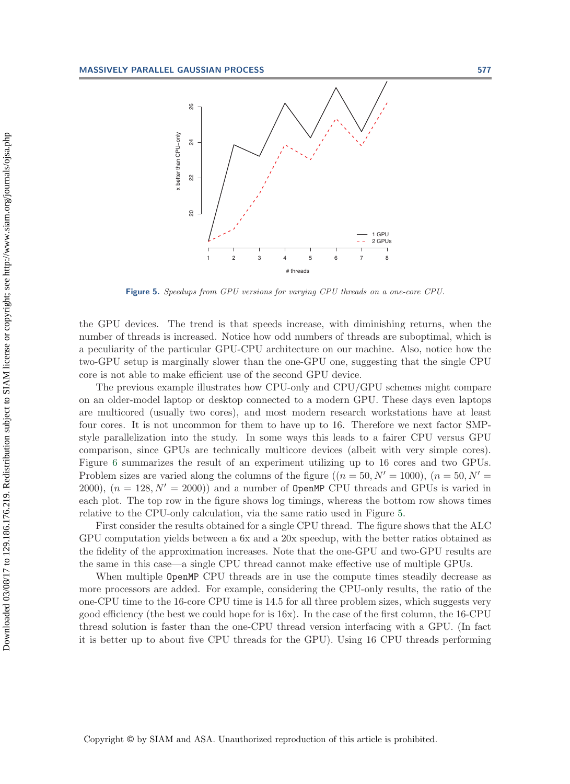

<span id="page-13-0"></span>**Figure 5.** Speedups from GPU versions for varying CPU threads on a one-core CPU.

the GPU devices. The trend is that speeds increase, with diminishing returns, when the number of threads is increased. Notice how odd numbers of threads are suboptimal, which is a peculiarity of the particular GPU-CPU architecture on our machine. Also, notice how the two-GPU setup is marginally slower than the one-GPU one, suggesting that the single CPU core is not able to make efficient use of the second GPU device.

The previous example illustrates how CPU-only and CPU/GPU schemes might compare on an older-model laptop or desktop connected to a modern GPU. These days even laptops are multicored (usually two cores), and most modern research workstations have at least four cores. It is not uncommon for them to have up to 16. Therefore we next factor SMPstyle parallelization into the study. In some ways this leads to a fairer CPU versus GPU comparison, since GPUs are technically multicore devices (albeit with very simple cores). Figure [6](#page-14-0) summarizes the result of an experiment utilizing up to 16 cores and two GPUs. Problem sizes are varied along the columns of the figure  $((n = 50, N' = 1000), (n = 50, N' =$ 2000),  $(n = 128, N' = 2000)$  and a number of OpenMP CPU threads and GPUs is varied in each plot. The top row in the figure shows log timings, whereas the bottom row shows times relative to the CPU-only calculation, via the same ratio used in Figure [5.](#page-13-0)

First consider the results obtained for a single CPU thread. The figure shows that the ALC GPU computation yields between a 6x and a 20x speedup, with the better ratios obtained as the fidelity of the approximation increases. Note that the one-GPU and two-GPU results are the same in this case—a single CPU thread cannot make effective use of multiple GPUs.

When multiple OpenMP CPU threads are in use the compute times steadily decrease as more processors are added. For example, considering the CPU-only results, the ratio of the one-CPU time to the 16-core CPU time is 14.5 for all three problem sizes, which suggests very good efficiency (the best we could hope for is 16x). In the case of the first column, the 16-CPU thread solution is faster than the one-CPU thread version interfacing with a GPU. (In fact it is better up to about five CPU threads for the GPU). Using 16 CPU threads performing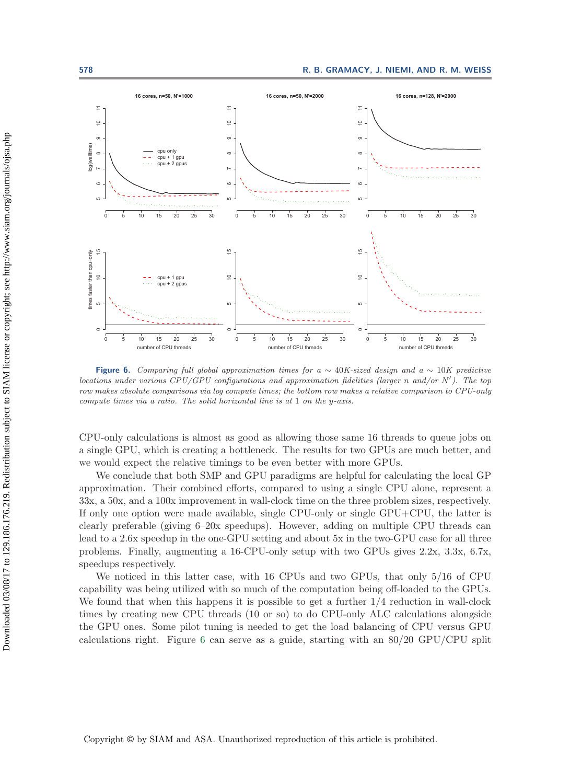

<span id="page-14-0"></span>**Figure 6.** Comparing full global approximation times for a  $\sim 40K$ -sized design and a  $\sim 10K$  predictive locations under various CPU/GPU configurations and approximation fidelities (larger *n* and/or *N* ). The top row makes absolute comparisons via log compute times; the bottom row makes a relative comparison to CPU-only compute times via a ratio. The solid horizontal line is at 1 on the *y*-axis.

CPU-only calculations is almost as good as allowing those same 16 threads to queue jobs on a single GPU, which is creating a bottleneck. The results for two GPUs are much better, and we would expect the relative timings to be even better with more GPUs.

We conclude that both SMP and GPU paradigms are helpful for calculating the local GP approximation. Their combined efforts, compared to using a single CPU alone, represent a 33x, a 50x, and a 100x improvement in wall-clock time on the three problem sizes, respectively. If only one option were made available, single CPU-only or single GPU+CPU, the latter is clearly preferable (giving 6–20x speedups). However, adding on multiple CPU threads can lead to a 2.6x speedup in the one-GPU setting and about 5x in the two-GPU case for all three problems. Finally, augmenting a 16-CPU-only setup with two GPUs gives 2.2x, 3.3x, 6.7x, speedups respectively.

We noticed in this latter case, with 16 CPUs and two GPUs, that only 5/16 of CPU capability was being utilized with so much of the computation being off-loaded to the GPUs. We found that when this happens it is possible to get a further  $1/4$  reduction in wall-clock times by creating new CPU threads (10 or so) to do CPU-only ALC calculations alongside the GPU ones. Some pilot tuning is needed to get the load balancing of CPU versus GPU calculations right. Figure [6](#page-14-0) can serve as a guide, starting with an 80/20 GPU/CPU split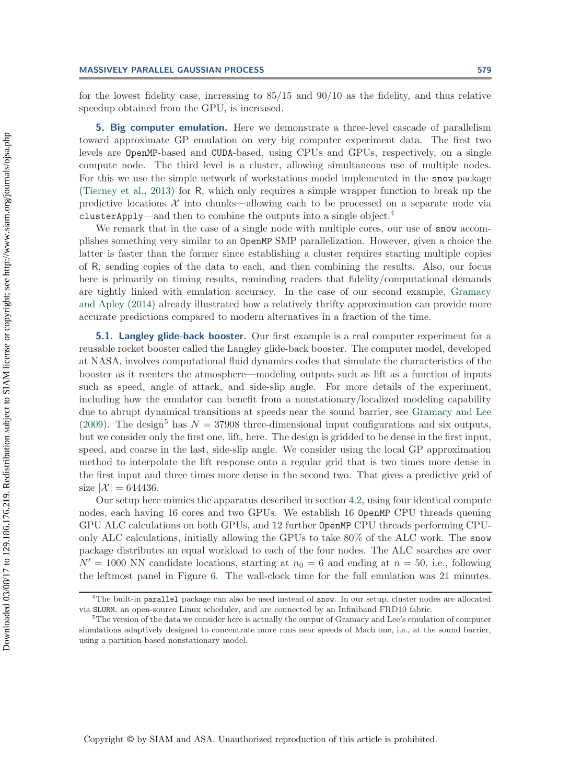for the lowest fidelity case, increasing to 85/15 and 90/10 as the fidelity, and thus relative speedup obtained from the GPU, is increased.

<span id="page-15-0"></span>**5. Big computer emulation.** Here we demonstrate a three-level cascade of parallelism toward approximate GP emulation on very big computer experiment data. The first two levels are OpenMP-based and CUDA-based, using CPUs and GPUs, respectively, on a single compute node. The third level is a cluster, allowing simultaneous use of multiple nodes. For this we use the simple network of workstations model implemented in the snow package [\(Tierney et al.,](#page-20-12) [2013](#page-20-12)) for R, which only requires a simple wrapper function to break up the predictive locations  $\mathcal X$  into chunks—allowing each to be processed on a separate node via clusterApply—and then to combine the outputs into a single object.[4](#page-15-1)

We remark that in the case of a single node with multiple cores, our use of snow accomplishes something very similar to an OpenMP SMP parallelization. However, given a choice the latter is faster than the former since establishing a cluster requires starting multiple copies of R, sending copies of the data to each, and then combining the results. Also, our focus here is primarily on timing results, reminding readers that fidelity/computational demands are tightl[y linked with emulation accuracy. In the case of our second example,](#page-19-9) Gramacy and Apley [\(2014\)](#page-19-9) already illustrated how a relatively thrifty approximation can provide more accurate predictions compared to modern alternatives in a fraction of the time.

**5.1. Langley glide-back booster.** Our first example is a real computer experiment for a reusable rocket booster called the Langley glide-back booster. The computer model, developed at NASA, involves computational fluid dynamics codes that simulate the characteristics of the booster as it reenters the atmosphere—modeling outputs such as lift as a function of inputs such as speed, angle of attack, and side-slip angle. For more details of the experiment, including how the emulator can benefit from a nonstationary/localized modeling capability due to abrupt dynamical transitions at speeds near the sound barrier, see [Gramacy and Lee](#page-19-18) [\(2009\)](#page-19-18). The design<sup>[5](#page-15-2)</sup> has  $N = 37908$  three-dimensional input configurations and six outputs, but we consider only the first one, lift, here. The design is gridded to be dense in the first input, speed, and coarse in the last, side-slip angle. We consider using the local GP approximation method to interpolate the lift response onto a regular grid that is two times more dense in the first input and three times more dense in the second two. That gives a predictive grid of size  $|\mathcal{X}| = 644436$ .

Our setup here mimics the apparatus described in section [4.2,](#page-12-0) using four identical compute nodes, each having 16 cores and two GPUs. We establish 16 OpenMP CPU threads queuing GPU ALC calculations on both GPUs, and 12 further OpenMP CPU threads performing CPUonly ALC calculations, initially allowing the GPUs to take 80% of the ALC work. The snow package distributes an equal workload to each of the four nodes. The ALC searches are over  $N' = 1000$  NN candidate locations, starting at  $n_0 = 6$  and ending at  $n = 50$ , i.e., following the leftmost panel in Figure [6.](#page-14-0) The wall-clock time for the full emulation was 21 minutes.

<span id="page-15-1"></span><sup>&</sup>lt;sup>4</sup>The built-in parallel package can also be used instead of snow. In our setup, cluster nodes are allocated via SLURM, an open-source Linux scheduler, and are connected by an Infiniband FRD10 fabric. <sup>5</sup>The version of the data we consider here is actually the output of Gramacy and Lee's emulation of computer

<span id="page-15-2"></span>simulations adaptively designed to concentrate more runs near speeds of Mach one, i.e., at the sound barrier, using a partition-based nonstationary model.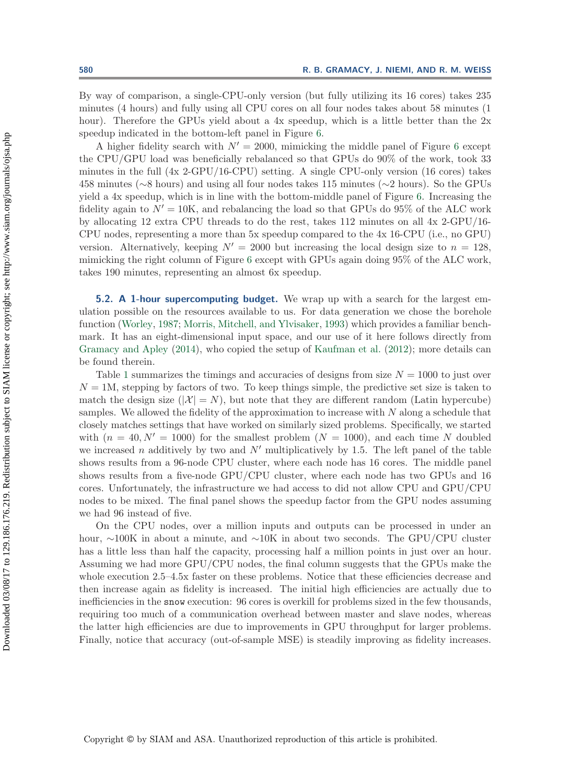By way of comparison, a single-CPU-only version (but fully utilizing its 16 cores) takes 235 minutes (4 hours) and fully using all CPU cores on all four nodes takes about 58 minutes (1 hour). Therefore the GPUs yield about a 4x speedup, which is a little better than the 2x speedup indicated in the bottom-left panel in Figure [6.](#page-14-0)

A higher fidelity search with  $N' = 2000$ , mimicking the middle panel of Figure [6](#page-14-0) except the CPU/GPU load was beneficially rebalanced so that GPUs do 90% of the work, took 33 minutes in the full (4x 2-GPU/16-CPU) setting. A single CPU-only version (16 cores) takes 458 minutes (∼8 hours) and using all four nodes takes 115 minutes (∼2 hours). So the GPUs yield a 4x speedup, which is in line with the bottom-middle panel of Figure [6.](#page-14-0) Increasing the fidelity again to  $N' = 10$ K, and rebalancing the load so that GPUs do 95% of the ALC work by allocating 12 extra CPU threads to do the rest, takes 112 minutes on all 4x 2-GPU/16- CPU nodes, representing a more than 5x speedup compared to the 4x 16-CPU (i.e., no GPU) version. Alternatively, keeping  $N' = 2000$  but increasing the local design size to  $n = 128$ . mimicking the right column of Figure [6](#page-14-0) except with GPUs again doing 95% of the ALC work, takes 190 minutes, representing an almost 6x speedup.

**5.2. A 1-hour supercomputing budget.** We wrap up with a search for the largest emulation possible on the resources available to us. For data generation we chose the borehole function [\(Worley](#page-20-13), [1987;](#page-20-13) [Morris, Mitchell, and Ylvisaker,](#page-20-14) [1993](#page-20-14)) which provides a familiar benchmark. It has an eight-dimensional input space, and our use of it here follows directly from [Gramacy and Apley](#page-19-9) [\(2014](#page-19-9)), who copied the setup of [Kaufman et al.](#page-19-6) [\(2012\)](#page-19-6); more details can be found therein.

Table [1](#page-17-1) summarizes the timings and accuracies of designs from size  $N = 1000$  to just over  $N = 1$ M, stepping by factors of two. To keep things simple, the predictive set size is taken to match the design size  $(|\mathcal{X}| = N)$ , but note that they are different random (Latin hypercube) samples. We allowed the fidelity of the approximation to increase with  $N$  along a schedule that closely matches settings that have worked on similarly sized problems. Specifically, we started with  $(n = 40, N' = 1000)$  for the smallest problem  $(N = 1000)$ , and each time N doubled we increased n additively by two and  $N'$  multiplicatively by 1.5. The left panel of the table shows results from a 96-node CPU cluster, where each node has 16 cores. The middle panel shows results from a five-node GPU/CPU cluster, where each node has two GPUs and 16 cores. Unfortunately, the infrastructure we had access to did not allow CPU and GPU/CPU nodes to be mixed. The final panel shows the speedup factor from the GPU nodes assuming we had 96 instead of five.

On the CPU nodes, over a million inputs and outputs can be processed in under an hour, ∼100K in about a minute, and ∼10K in about two seconds. The GPU/CPU cluster has a little less than half the capacity, processing half a million points in just over an hour. Assuming we had more GPU/CPU nodes, the final column suggests that the GPUs make the whole execution 2.5–4.5x faster on these problems. Notice that these efficiencies decrease and then increase again as fidelity is increased. The initial high efficiencies are actually due to inefficiencies in the snow execution: 96 cores is overkill for problems sized in the few thousands, requiring too much of a communication overhead between master and slave nodes, whereas the latter high efficiencies are due to improvements in GPU throughput for larger problems. Finally, notice that accuracy (out-of-sample MSE) is steadily improving as fidelity increases.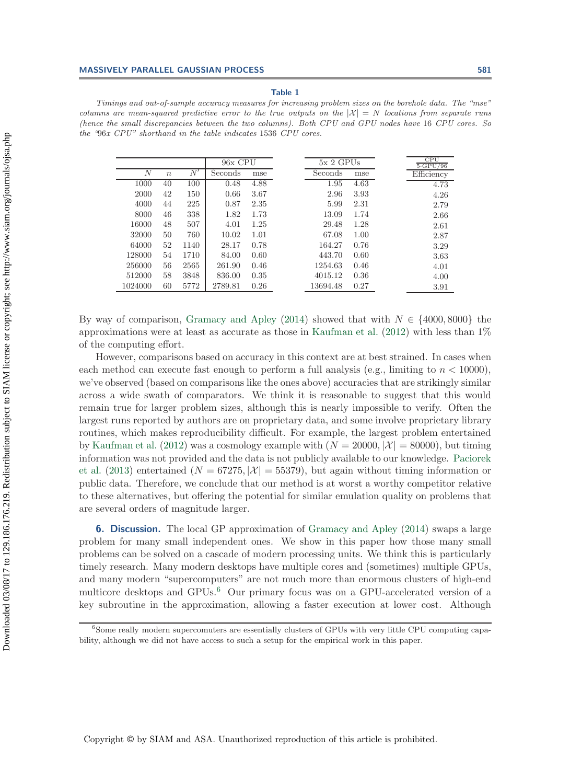#### **Table 1**

<span id="page-17-1"></span>Timings and out-of-sample accuracy measures for increasing problem sizes on the borehole data. The "mse" columns are mean-squared predictive error to the true outputs on the  $|\mathcal{X}| = N$  locations from separate runs (hence the small discrepancies between the two columns). Both CPU and GPU nodes have 16 CPU cores. So the "96x CPU" shorthand in the table indicates 1536 CPU cores.

|                |                  |      | 96x CPU |      | $5x$ 2 GPUs |      | CPU<br>$5 \cdot$ GPU/96 |
|----------------|------------------|------|---------|------|-------------|------|-------------------------|
| $\overline{N}$ | $\boldsymbol{n}$ | N'   | Seconds | mse  | Seconds     | mse  | Efficiency              |
| 1000           | 40               | 100  | 0.48    | 4.88 | 1.95        | 4.63 | 4.73                    |
| 2000           | 42               | 150  | 0.66    | 3.67 | 2.96        | 3.93 | 4.26                    |
| 4000           | 44               | 225  | 0.87    | 2.35 | 5.99        | 2.31 | 2.79                    |
| 8000           | 46               | 338  | 1.82    | 1.73 | 13.09       | 1.74 | 2.66                    |
| 16000          | 48               | 507  | 4.01    | 1.25 | 29.48       | 1.28 | 2.61                    |
| 32000          | 50               | 760  | 10.02   | 1.01 | 67.08       | 1.00 | 2.87                    |
| 64000          | 52               | 1140 | 28.17   | 0.78 | 164.27      | 0.76 | 3.29                    |
| 128000         | 54               | 1710 | 84.00   | 0.60 | 443.70      | 0.60 | 3.63                    |
| 256000         | 56               | 2565 | 261.90  | 0.46 | 1254.63     | 0.46 | 4.01                    |
| 512000         | 58               | 3848 | 836.00  | 0.35 | 4015.12     | 0.36 | 4.00                    |
| 1024000        | 60               | 5772 | 2789.81 | 0.26 | 13694.48    | 0.27 | 3.91                    |

By way of comparison, [Gramacy and Apley](#page-19-9) [\(2014](#page-19-9)) showed that with  $N \in \{4000, 8000\}$  the approximations were at least as accurate as those in [Kaufman et al.](#page-19-6)  $(2012)$  with less than  $1\%$ of the computing effort.

However, comparisons based on accuracy in this context are at best strained. In cases when each method can execute fast enough to perform a full analysis (e.g., limiting to  $n < 10000$ ), we've observed (based on comparisons like the ones above) accuracies that are strikingly similar across a wide swath of comparators. We think it is reasonable to suggest that this would remain true for larger problem sizes, although this is nearly impossible to verify. Often the largest runs reported by authors are on proprietary data, and some involve proprietary library routines, which makes reproducibility difficult. For example, the largest problem entertained by [Kaufman et al.](#page-19-6) [\(2012](#page-19-6)) was a cosmology example with  $(N = 20000, |\mathcal{X}| = 80000)$ , but timing infor[mation](#page-20-4) [was](#page-20-4) [not](#page-20-4) [provided](#page-20-4) [and](#page-20-4) [the](#page-20-4) [data](#page-20-4) [is](#page-20-4) [not](#page-20-4) [publicly](#page-20-4) [available](#page-20-4) [to](#page-20-4) [our](#page-20-4) [knowledge.](#page-20-4) Paciorek et al. [\(2013\)](#page-20-4) entertained  $(N = 67275, |\mathcal{X}| = 55379)$ , but again without timing information or public data. Therefore, we conclude that our method is at worst a worthy competitor relative to these alternatives, but offering the potential for similar emulation quality on problems that are several orders of magnitude larger.

<span id="page-17-0"></span>**6. Discussion.** The local GP approximation of [Gramacy and Apley](#page-19-9) [\(2014](#page-19-9)) swaps a large problem for many small independent ones. We show in this paper how those many small problems can be solved on a cascade of modern processing units. We think this is particularly timely research. Many modern desktops have multiple cores and (sometimes) multiple GPUs, and many modern "supercomputers" are not much more than enormous clusters of high-end multicore desktops and GPUs.<sup>[6](#page-17-2)</sup> Our primary focus was on a GPU-accelerated version of a key subroutine in the approximation, allowing a faster execution at lower cost. Although

<span id="page-17-2"></span> $6S$ ome really modern supercomuters are essentially clusters of GPUs with very little CPU computing capability, although we did not have access to such a setup for the empirical work in this paper.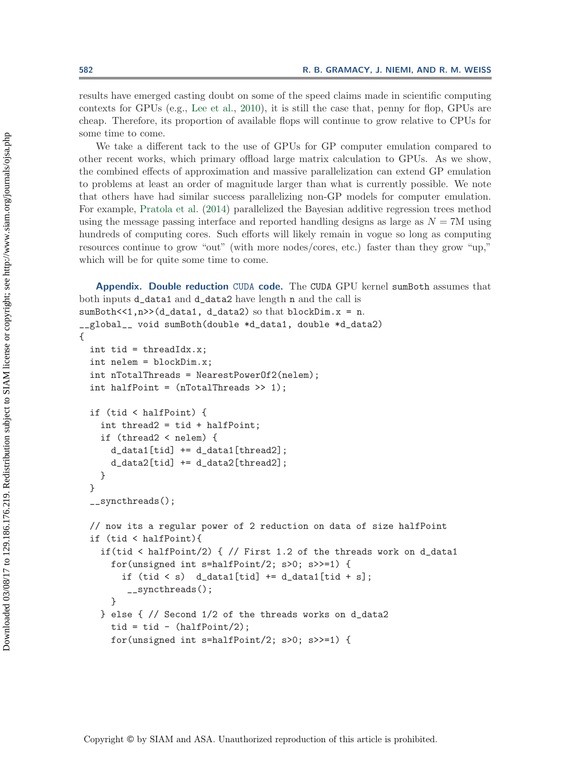results have emerged casting doubt on some of the speed claims made in scientific computing contexts for GPUs (e.g., [Lee et al.,](#page-19-19) [2010\)](#page-19-19), it is still the case that, penny for flop, GPUs are cheap. Therefore, its proportion of available flops will continue to grow relative to CPUs for some time to come.

We take a different tack to the use of GPUs for GP computer emulation compared to other recent works, which primary offload large matrix calculation to GPUs. As we show, the combined effects of approximation and massive parallelization can extend GP emulation to problems at least an order of magnitude larger than what is currently possible. We note that others have had similar success parallelizing non-GP models for computer emulation. For example, [Pratola et al.](#page-20-15) [\(2014](#page-20-15)) parallelized the Bayesian additive regression trees method using the message passing interface and reported handling designs as large as  $N = 7M$  using hundreds of computing cores. Such efforts will likely remain in vogue so long as computing resources continue to grow "out" (with more nodes/cores, etc.) faster than they grow "up," which will be for quite some time to come.

```
Appendix. Double reduction CUDA code. The CUDA GPU kernel sumBoth assumes that
both inputs d_data1 and d_data2 have length n and the call is
```

```
sumBoth<<1,n>>(d_data1, d_data2) so that blockDim.x = n.
__global__ void sumBoth(double *d_data1, double *d_data2)
{
  int tid = threadIdx.x;
  int nelem = blockDim.x;
  int nTotalThreads = NearestPowerOf2(nelem);
  int halfPoint = (nTotalThreads > 1);
  if (tid < halfPoint) {
    int thread2 = tid + halfPoint;
    if (thread2 < nelem) {
      d_data[tid] += d_data[thread2];d_data2[tid] += d_data2[thread2];
    }
  }
  __syncthreads();
  // now its a regular power of 2 reduction on data of size halfPoint
  if (tid < halfPoint){
    if(tid < halfPoint/2) { // First 1.2 of the threads work on d_data1
      for(unsigned int s=halfPoint/2; s>0; s>>=1) {
        if (tid < s) d_data1[tid] += d_data1[tid + s];
         __syncthreads();
      }
    } else { // Second 1/2 of the threads works on d_data2
      tid = tid - (halfPoint/2);for(unsigned int s=halfPoint/2; s>0; s>>=1) {
```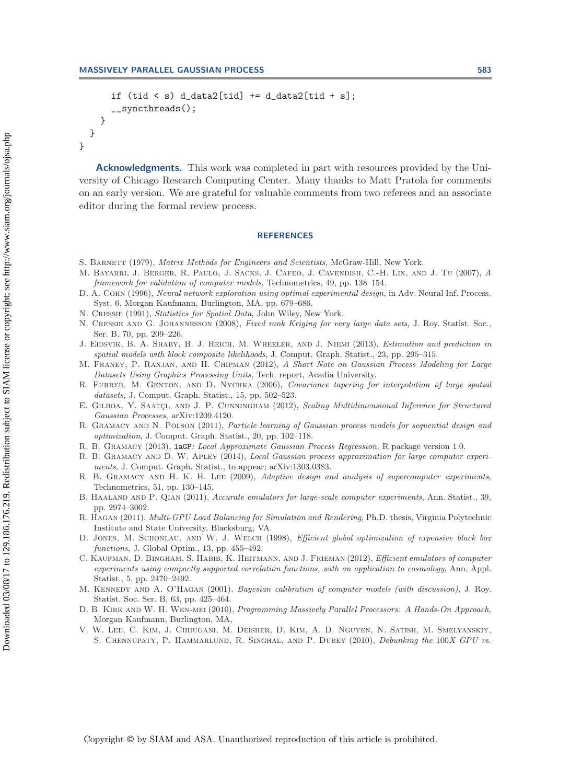}

```
if (tid < s) d_data2[tid] += d_data2[tid + s];
    __syncthreads();
  }
}
```
**Acknowledgments.** This work was completed in part with resources provided by the University of Chicago Research Computing Center. Many thanks to Matt Pratola for comments on an early version. We are grateful for valuable comments from two referees and an associate editor during the formal review process.

## **REFERENCES**

- <span id="page-19-14"></span>S. BARNETT (1979), Matrix Methods for Engineers and Scientists, McGraw-Hill, New York.
- <span id="page-19-2"></span>M. Bayarri, J. Berger, R. Paulo, J. Sacks, J. Cafeo, J. Cavendish, C.-H. Lin, and J. Tu (2007), A framework for validation of computer models, Technometrics, 49, pp. 138–154.
- <span id="page-19-15"></span>D. A. COHN (1996), Neural network exploration using optimal experimental design, in Adv. Neural Inf. Process. Syst. 6, Morgan Kaufmann, Burlington, MA, pp. 679–686.
- <span id="page-19-10"></span>N. Cressie (1991), Statistics for Spatial Data, John Wiley, New York.
- <span id="page-19-4"></span>N. Cressie and G. Johannesson (2008), Fixed rank Kriging for very large data sets, J. Roy. Statist. Soc., Ser. B, 70, pp. 209–226.
- <span id="page-19-7"></span>J. EIDSVIK, B. A. SHABY, B. J. REICH, M. WHEELER, AND J. NIEMI (2013), *Estimation and prediction in* spatial models with block composite likelihoods, J. Comput. Graph. Statist., 23, pp. 295–315.
- <span id="page-19-11"></span>M. Franey, P. Ranjan, and H. Chipman (2012), A Short Note on Gaussian Process Modeling for Large Datasets Using Graphics Processing Units, Tech. report, Acadia University.
- <span id="page-19-3"></span>R. FURRER, M. GENTON, AND D. NYCHKA (2006), Covariance tapering for interpolation of large spatial datasets, J. Comput. Graph. Statist., 15, pp. 502–523.
- <span id="page-19-8"></span>E. GILBOA, Y. SAATÇI, AND J. P. CUNNINGHAM (2012), Scaling Multidimensional Inference for Structured Gaussian Processes, arXiv:1209.4120.
- <span id="page-19-13"></span>R. GRAMACY AND N. POLSON (2011), Particle learning of Gaussian process models for sequential design and optimization, J. Comput. Graph. Statist., 20, pp. 102–118.
- <span id="page-19-12"></span>R. B. Gramacy (2013), laGP: Local Approximate Gaussian Process Regression, R package version 1.0.
- <span id="page-19-9"></span>R. B. GRAMACY AND D. W. APLEY (2014), Local Gaussian process approximation for large computer experiments, J. Comput. Graph. Statist., to appear; arXiv:1303.0383.
- <span id="page-19-18"></span>R. B. GRAMACY AND H. K. H. LEE (2009), Adaptive design and analysis of supercomputer experiments, Technometrics, 51, pp. 130–145.
- <span id="page-19-5"></span>B. HAALAND AND P. QIAN (2011), Accurate emulators for large-scale computer experiments, Ann. Statist., 39, pp. 2974–3002.
- <span id="page-19-17"></span>R. Hagan (2011), Multi-GPU Load Balancing for Simulation and Rendering, Ph.D. thesis, Virginia Polytechnic Institute and State University, Blacksburg, VA.
- <span id="page-19-0"></span>D. JONES, M. SCHONLAU, AND W. J. WELCH (1998), Efficient global optimization of expensive black box functions, J. Global Optim., 13, pp. 455–492.
- <span id="page-19-6"></span>C. KAUFMAN, D. BINGHAM, S. HABIB, K. HEITMANN, AND J. FRIEMAN (2012), Efficient emulators of computer experiments using compactly supported correlation functions, with an application to cosmology, Ann. Appl. Statist., 5, pp. 2470–2492.
- <span id="page-19-1"></span>M. Kennedy and A. O'Hagan (2001), Bayesian calibration of computer models (with discussion), J. Roy. Statist. Soc. Ser. B, 63, pp. 425–464.
- <span id="page-19-16"></span>D. B. KIRK AND W. H. WEN-MEI (2010), Programming Massively Parallel Processors: A Hands-On Approach, Morgan Kaufmann, Burlington, MA,
- <span id="page-19-19"></span>V. W. Lee, C. Kim, J. Chhugani, M. Deisher, D. Kim, A. D. Nguyen, N. Satish, M. Smelyanskiy, S. Chennupaty, P. Hammarlund, R. Singhal, and P. Dubey (2010), Debunking the 100X GPU vs.